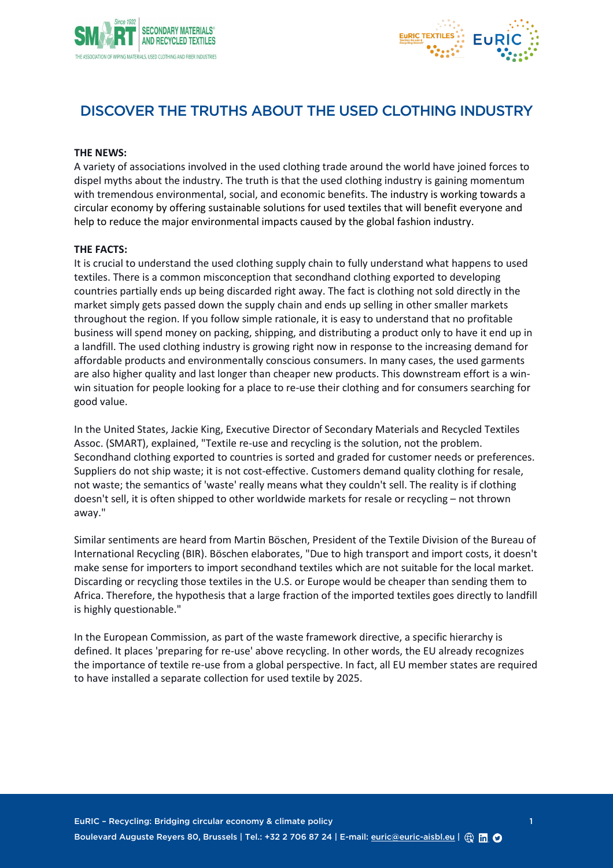



# DISCOVER THE TRUTHS ABOUT THE USED CLOTHING INDUSTRY

### **THE NEWS:**

A variety of associations involved in the used clothing trade around the world have joined forces to dispel myths about the industry. The truth is that the used clothing industry is gaining momentum with tremendous environmental, social, and economic benefits. The industry is working towards a circular economy by offering sustainable solutions for used textiles that will benefit everyone and help to reduce the major environmental impacts caused by the global fashion industry.

#### **THE FACTS:**

It is crucial to understand the used clothing supply chain to fully understand what happens to used textiles. There is a common misconception that secondhand clothing exported to developing countries partially ends up being discarded right away. The fact is clothing not sold directly in the market simply gets passed down the supply chain and ends up selling in other smaller markets throughout the region. If you follow simple rationale, it is easy to understand that no profitable business will spend money on packing, shipping, and distributing a product only to have it end up in a landfill. The used clothing industry is growing right now in response to the increasing demand for affordable products and environmentally conscious consumers. In many cases, the used garments are also higher quality and last longer than cheaper new products. This downstream effort is a winwin situation for people looking for a place to re-use their clothing and for consumers searching for good value.

In the United States, Jackie King, Executive Director of Secondary Materials and Recycled Textiles Assoc. (SMART), explained, "Textile re-use and recycling is the solution, not the problem. Secondhand clothing exported to countries is sorted and graded for customer needs or preferences. Suppliers do not ship waste; it is not cost-effective. Customers demand quality clothing for resale, not waste; the semantics of 'waste' really means what they couldn't sell. The reality is if clothing doesn't sell, it is often shipped to other worldwide markets for resale or recycling – not thrown away."

Similar sentiments are heard from Martin Böschen, President of the Textile Division of the Bureau of International Recycling (BIR). Böschen elaborates, "Due to high transport and import costs, it doesn't make sense for importers to import secondhand textiles which are not suitable for the local market. Discarding or recycling those textiles in the U.S. or Europe would be cheaper than sending them to Africa. Therefore, the hypothesis that a large fraction of the imported textiles goes directly to landfill is highly questionable."

In the European Commission, as part of the waste framework directive, a specific hierarchy is defined. It places 'preparing for re-use' above recycling. In other words, the EU already recognizes the importance of textile re-use from a global perspective. In fact, all EU member states are required to have installed a separate collection for used textile by 2025.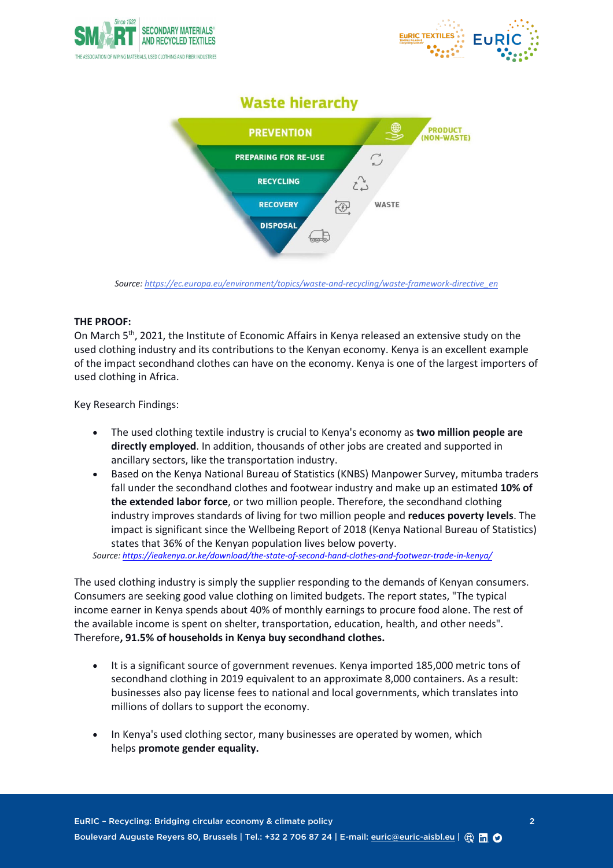



# **Waste hierarchy**



*Source: [https://ec.europa.eu/environment/topics/waste-and-recycling/waste-framework-directive\\_en](https://ec.europa.eu/environment/topics/waste-and-recycling/waste-framework-directive_en)*

# **THE PROOF:**

On March 5th, 2021, the Institute of Economic Affairs in Kenya released an extensive study on the used clothing industry and its contributions to the Kenyan economy. Kenya is an excellent example of the impact secondhand clothes can have on the economy. Kenya is one of the largest importers of used clothing in Africa.

Key Research Findings:

- The used clothing textile industry is crucial to Kenya's economy as **two million people are directly employed**. In addition, thousands of other jobs are created and supported in ancillary sectors, like the transportation industry.
- Based on the Kenya National Bureau of Statistics (KNBS) Manpower Survey, mitumba traders fall under the secondhand clothes and footwear industry and make up an estimated **10% of the extended labor force**, or two million people. Therefore, the secondhand clothing industry improves standards of living for two million people and **reduces poverty levels**. The impact is significant since the Wellbeing Report of 2018 (Kenya National Bureau of Statistics) states that 36% of the Kenyan population lives below poverty.

*Source[: https://ieakenya.or.ke/download/the-state-of-second-hand-clothes-and-footwear-trade-in-kenya/](https://ieakenya.or.ke/download/the-state-of-second-hand-clothes-and-footwear-trade-in-kenya/)*

The used clothing industry is simply the supplier responding to the demands of Kenyan consumers. Consumers are seeking good value clothing on limited budgets. The report states, "The typical income earner in Kenya spends about 40% of monthly earnings to procure food alone. The rest of the available income is spent on shelter, transportation, education, health, and other needs". Therefore**, 91.5% of households in Kenya buy secondhand clothes.**

- It is a significant source of government revenues. Kenya imported 185,000 metric tons of secondhand clothing in 2019 equivalent to an approximate 8,000 containers. As a result: businesses also pay license fees to national and local governments, which translates into millions of dollars to support the economy.
- In Kenya's used clothing sector, many businesses are operated by women, which helps **promote gender equality.**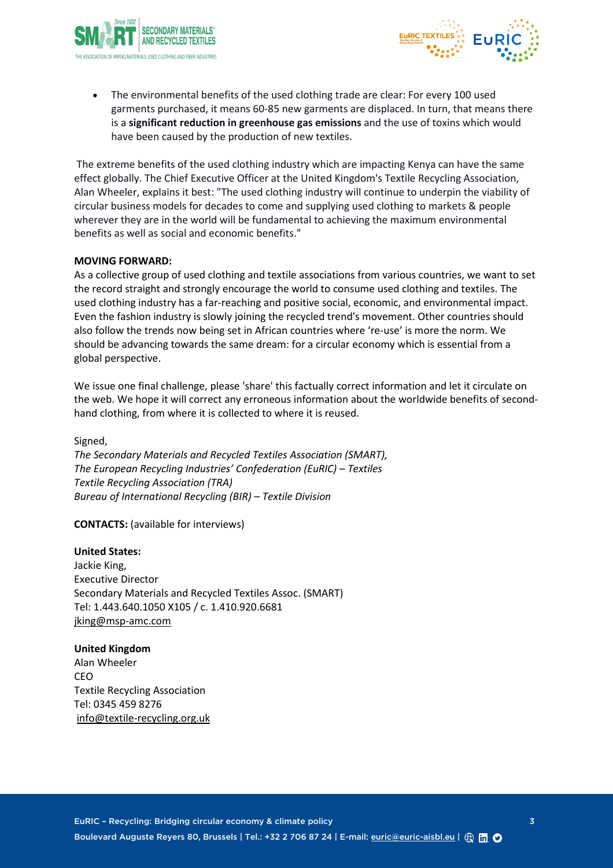



The environmental benefits of the used clothing trade are clear: For every 100 used garments purchased, it means 60-85 new garments are displaced. In turn, that means there is a **significant reduction in greenhouse gas emissions** and the use of toxins which would have been caused by the production of new textiles.

The extreme benefits of the used clothing industry which are impacting Kenya can have the same effect globally. The Chief Executive Officer at the United Kingdom's Textile Recycling Association, Alan Wheeler, explains it best: "The used clothing industry will continue to underpin the viability of circular business models for decades to come and supplying used clothing to markets & people wherever they are in the world will be fundamental to achieving the maximum environmental benefits as well as social and economic benefits."

## **MOVING FORWARD:**

As a collective group of used clothing and textile associations from various countries, we want to set the record straight and strongly encourage the world to consume used clothing and textiles. The used clothing industry has a far-reaching and positive social, economic, and environmental impact. Even the fashion industry is slowly joining the recycled trend's movement. Other countries should also follow the trends now being set in African countries where 're-use' is more the norm. We should be advancing towards the same dream: for a circular economy which is essential from a global perspective.

We issue one final challenge, please 'share' this factually correct information and let it circulate on the web. We hope it will correct any erroneous information about the worldwide benefits of secondhand clothing, from where it is collected to where it is reused.

Signed, *The Secondary Materials and Recycled Textiles Association (SMART), The European Recycling Industries' Confederation (EuRIC) – Textiles Textile Recycling Association (TRA) Bureau of International Recycling (BIR) – Textile Division* 

**CONTACTS:** (available for interviews)

#### **United States:**

Jackie King, Executive Director Secondary Materials and Recycled Textiles Assoc. (SMART) Tel: 1.443.640.1050 X105 / c. 1.410.920.6681 [jking@msp-amc.com](mailto:jking@msp-amc.com)

#### **United Kingdom**

Alan Wheeler CEO Textile Recycling Association Tel: 0345 459 8276 [info@textile-recycling.org.uk](mailto:info@textile-recycling.org.uk)